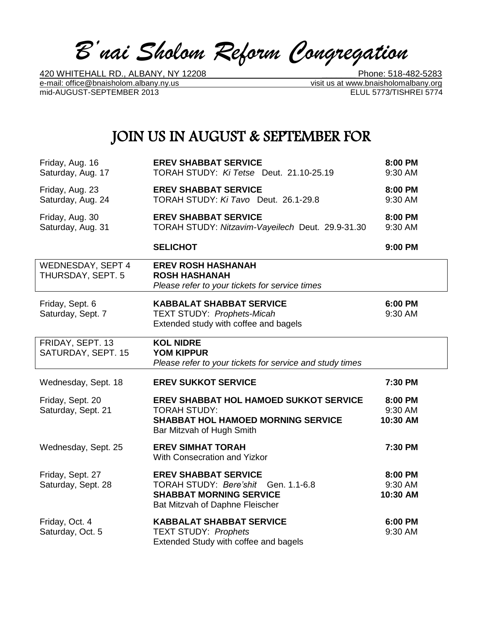*B'nai Sholom Reform Congregation*

e-mail: office@bnaisholom.albany.ny.us<br>mid-AUGUST-SEPTEMBER 2013<br>ELUL 5773/TISHREI 5774 mid-AUGUST-SEPTEMBER 2013

420 WHITEHALL RD., ALBANY, NY 12208 \_\_\_\_\_\_\_ Phone: 518-482-5283

# JOIN US IN AUGUST & SEPTEMBER FOR

| Friday, Aug. 16<br>Saturday, Aug. 17   | <b>EREV SHABBAT SERVICE</b><br>TORAH STUDY: Ki Tetse Deut. 21.10-25.19                                                                  | 8:00 PM<br>9:30 AM             |
|----------------------------------------|-----------------------------------------------------------------------------------------------------------------------------------------|--------------------------------|
| Friday, Aug. 23<br>Saturday, Aug. 24   | <b>EREV SHABBAT SERVICE</b><br>TORAH STUDY: Ki Tavo Deut. 26.1-29.8                                                                     | 8:00 PM<br>9:30 AM             |
| Friday, Aug. 30<br>Saturday, Aug. 31   | <b>EREV SHABBAT SERVICE</b><br>TORAH STUDY: Nitzavim-Vayeilech Deut. 29.9-31.30                                                         | 8:00 PM<br>9:30 AM             |
|                                        | <b>SELICHOT</b>                                                                                                                         | 9:00 PM                        |
| WEDNESDAY, SEPT 4<br>THURSDAY, SEPT. 5 | <b>EREV ROSH HASHANAH</b><br><b>ROSH HASHANAH</b><br>Please refer to your tickets for service times                                     |                                |
| Friday, Sept. 6<br>Saturday, Sept. 7   | <b>KABBALAT SHABBAT SERVICE</b><br><b>TEXT STUDY: Prophets-Micah</b><br>Extended study with coffee and bagels                           | 6:00 PM<br>9:30 AM             |
| FRIDAY, SEPT. 13<br>SATURDAY, SEPT. 15 | <b>KOL NIDRE</b><br><b>YOM KIPPUR</b><br>Please refer to your tickets for service and study times                                       |                                |
| Wednesday, Sept. 18                    | <b>EREV SUKKOT SERVICE</b>                                                                                                              | 7:30 PM                        |
| Friday, Sept. 20<br>Saturday, Sept. 21 | EREV SHABBAT HOL HAMOED SUKKOT SERVICE<br><b>TORAH STUDY:</b><br><b>SHABBAT HOL HAMOED MORNING SERVICE</b><br>Bar Mitzvah of Hugh Smith | 8:00 PM<br>9:30 AM<br>10:30 AM |
| Wednesday, Sept. 25                    | <b>EREV SIMHAT TORAH</b><br>With Consecration and Yizkor                                                                                | 7:30 PM                        |
| Friday, Sept. 27<br>Saturday, Sept. 28 | <b>EREV SHABBAT SERVICE</b><br>TORAH STUDY: Bere'shit Gen. 1.1-6.8<br><b>SHABBAT MORNING SERVICE</b><br>Bat Mitzvah of Daphne Fleischer | 8:00 PM<br>9:30 AM<br>10:30 AM |
| Friday, Oct. 4<br>Saturday, Oct. 5     | <b>KABBALAT SHABBAT SERVICE</b><br><b>TEXT STUDY: Prophets</b><br>Extended Study with coffee and bagels                                 | 6:00 PM<br>9:30 AM             |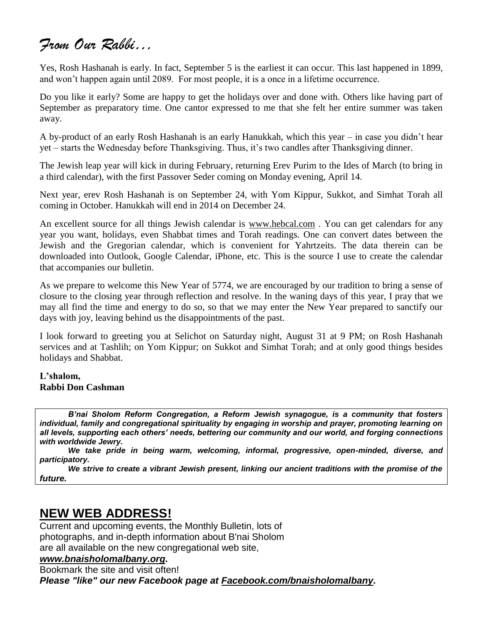# *From Our Rabbi…*

Yes, Rosh Hashanah is early. In fact, September 5 is the earliest it can occur. This last happened in 1899, and won't happen again until 2089. For most people, it is a once in a lifetime occurrence.

Do you like it early? Some are happy to get the holidays over and done with. Others like having part of September as preparatory time. One cantor expressed to me that she felt her entire summer was taken away.

A by-product of an early Rosh Hashanah is an early Hanukkah, which this year – in case you didn't hear yet – starts the Wednesday before Thanksgiving. Thus, it's two candles after Thanksgiving dinner.

The Jewish leap year will kick in during February, returning Erev Purim to the Ides of March (to bring in a third calendar), with the first Passover Seder coming on Monday evening, April 14.

Next year, erev Rosh Hashanah is on September 24, with Yom Kippur, Sukkot, and Simhat Torah all coming in October. Hanukkah will end in 2014 on December 24.

An excellent source for all things Jewish calendar is [www.hebcal.com](http://www.hebcal.com/) . You can get calendars for any year you want, holidays, even Shabbat times and Torah readings. One can convert dates between the Jewish and the Gregorian calendar, which is convenient for Yahrtzeits. The data therein can be downloaded into Outlook, Google Calendar, iPhone, etc. This is the source I use to create the calendar that accompanies our bulletin.

As we prepare to welcome this New Year of 5774, we are encouraged by our tradition to bring a sense of closure to the closing year through reflection and resolve. In the waning days of this year, I pray that we may all find the time and energy to do so, so that we may enter the New Year prepared to sanctify our days with joy, leaving behind us the disappointments of the past.

I look forward to greeting you at Selichot on Saturday night, August 31 at 9 PM; on Rosh Hashanah services and at Tashlih; on Yom Kippur; on Sukkot and Simhat Torah; and at only good things besides holidays and Shabbat.

#### **L'shalom, Rabbi Don Cashman**

*B'nai Sholom Reform Congregation, a Reform Jewish synagogue, is a community that fosters individual, family and congregational spirituality by engaging in worship and prayer, promoting learning on all levels, supporting each others' needs, bettering our community and our world, and forging connections with worldwide Jewry.*

*We take pride in being warm, welcoming, informal, progressive, open-minded, diverse, and participatory.*

*We strive to create a vibrant Jewish present, linking our ancient traditions with the promise of the future.*

# **NEW WEB ADDRESS!**

Current and upcoming events, the Monthly Bulletin, lots of photographs, and in-depth information about B'nai Sholom are all available on the new congregational web site,

### *[www.bnaisholomalbany.org.](http://www.bnaisholomalbany.org/)*

Bookmark the site and visit often!

*Please "like" our new Facebook page at [Facebook.com/bnaisholomalbany.](http://facebook.com/bnaisholomalbany)*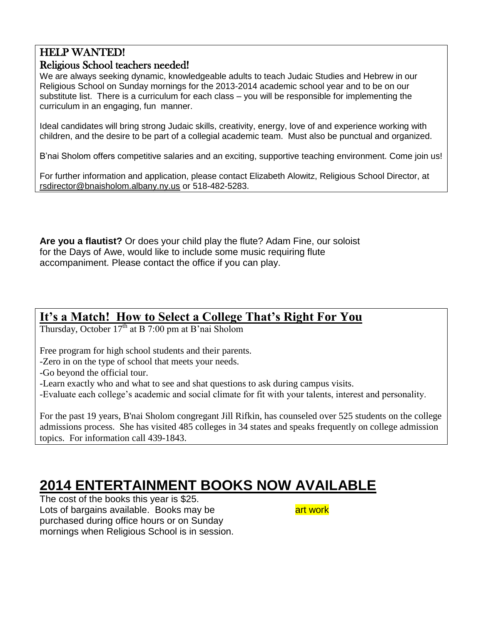## HELP WANTED!

### Religious School teachers needed!

We are always seeking dynamic, knowledgeable adults to teach Judaic Studies and Hebrew in our Religious School on Sunday mornings for the 2013-2014 academic school year and to be on our substitute list. There is a curriculum for each class – you will be responsible for implementing the curriculum in an engaging, fun manner.

Ideal candidates will bring strong Judaic skills, creativity, energy, love of and experience working with children, and the desire to be part of a collegial academic team. Must also be punctual and organized.

B'nai Sholom offers competitive salaries and an exciting, supportive teaching environment. Come join us!

For further information and application, please contact Elizabeth Alowitz, Religious School Director, at rsdirector@bnaisholom.albany.ny.us or 518-482-5283.

**Are you a flautist?** Or does your child play the flute? Adam Fine, our soloist for the Days of Awe, would like to include some music requiring flute accompaniment. Please contact the office if you can play.

## **It's a Match! How to Select a College That's Right For You**

Thursday, October  $17<sup>th</sup>$  at B 7:00 pm at B'nai Sholom

Free program for high school students and their parents.

-Zero in on the type of school that meets your needs.

-Go beyond the official tour.

-Learn exactly who and what to see and shat questions to ask during campus visits.

-Evaluate each college's academic and social climate for fit with your talents, interest and personality.

For the past 19 years, B'nai Sholom congregant Jill Rifkin, has counseled over 525 students on the college admissions process. She has visited 485 colleges in 34 states and speaks frequently on college admission topics. For information call 439-1843.

# **2014 ENTERTAINMENT BOOKS NOW AVAILABLE**

The cost of the books this year is \$25. Lots of bargains available. Books may be arrived and work purchased during office hours or on Sunday mornings when Religious School is in session.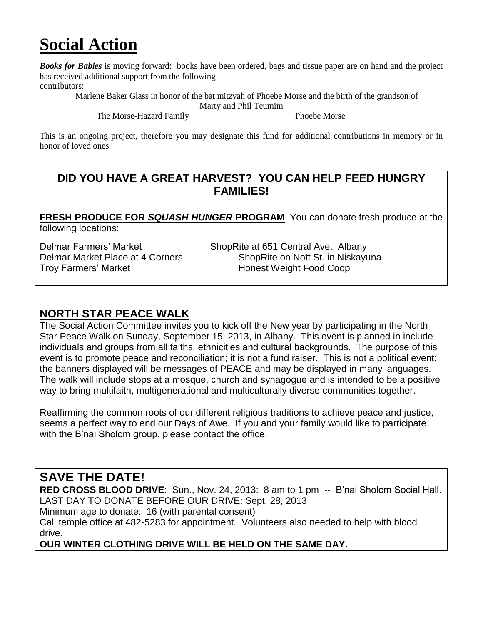# **Social Action**

*Books for Babies* is moving forward: books have been ordered, bags and tissue paper are on hand and the project has received additional support from the following

contributors:

 Marlene Baker Glass in honor of the bat mitzvah of Phoebe Morse and the birth of the grandson of Marty and Phil Teumim

The Morse-Hazard Family Phoebe Morse

This is an ongoing project, therefore you may designate this fund for additional contributions in memory or in honor of loved ones.

### **DID YOU HAVE A GREAT HARVEST? YOU CAN HELP FEED HUNGRY FAMILIES!**

**FRESH PRODUCE FOR** *SQUASH HUNGER* **PROGRAM** You can donate fresh produce at the following locations:

Delmar Farmers' Market ShopRite at 651 Central Ave., Albany Troy Farmers' Market **Honest Weight Food Coop** 

Delmar Market Place at 4 Corners ShopRite on Nott St. in Niskayuna

### **NORTH STAR PEACE WALK**

The Social Action Committee invites you to kick off the New year by participating in the North Star Peace Walk on Sunday, September 15, 2013, in Albany. This event is planned in include individuals and groups from all faiths, ethnicities and cultural backgrounds. The purpose of this event is to promote peace and reconciliation; it is not a fund raiser. This is not a political event; the banners displayed will be messages of PEACE and may be displayed in many languages. The walk will include stops at a mosque, church and synagogue and is intended to be a positive way to bring multifaith, multigenerational and multiculturally diverse communities together.

Reaffirming the common roots of our different religious traditions to achieve peace and justice, seems a perfect way to end our Days of Awe. If you and your family would like to participate with the B'nai Sholom group, please contact the office.

# **SAVE THE DATE!**

**RED CROSS BLOOD DRIVE**: Sun., Nov. 24, 2013: 8 am to 1 pm -- B'nai Sholom Social Hall. LAST DAY TO DONATE BEFORE OUR DRIVE: Sept. 28, 2013 Minimum age to donate: 16 (with parental consent) Call temple office at 482-5283 for appointment. Volunteers also needed to help with blood drive.

**OUR WINTER CLOTHING DRIVE WILL BE HELD ON THE SAME DAY.**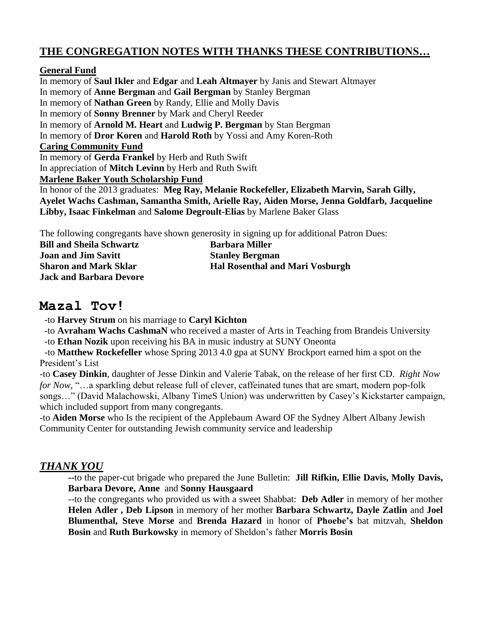### **THE CONGREGATION NOTES WITH THANKS THESE CONTRIBUTIONS…**

#### **General Fund**

In memory of **Saul Ikler** and **Edgar** and **Leah Altmayer** by Janis and Stewart Altmayer In memory of **Anne Bergman** and **Gail Bergman** by Stanley Bergman In memory of **Nathan Green** by Randy, Ellie and Molly Davis In memory of **Sonny Brenner** by Mark and Cheryl Reeder In memory of **Arnold M. Heart** and **Ludwig P. Bergman** by Stan Bergman In memory of **Dror Koren** and **Harold Roth** by Yossi and Amy Koren-Roth **Caring Community Fund** In memory of **Gerda Frankel** by Herb and Ruth Swift In appreciation of **Mitch Levinn** by Herb and Ruth Swift **Marlene Baker Youth Scholarship Fund** In honor of the 2013 graduates: **Meg Ray, Melanie Rockefeller, Elizabeth Marvin, Sarah Gilly, Ayelet Wachs Cashman, Samantha Smith, Arielle Ray, Aiden Morse, Jenna Goldfarb, Jacqueline Libby, Isaac Finkelman** and **Salome Degroult-Elias** by Marlene Baker Glass

The following congregants have shown generosity in signing up for additional Patron Dues:

| <b>Bill and Sheila Schwartz</b> | <b>Barbara Miller</b>                  |
|---------------------------------|----------------------------------------|
| <b>Joan and Jim Savitt</b>      | <b>Stanley Bergman</b>                 |
| <b>Sharon and Mark Sklar</b>    | <b>Hal Rosenthal and Mari Vosburgh</b> |
| <b>Jack and Barbara Devore</b>  |                                        |

### **Mazal Tov!**

-to **Harvey Strum** on his marriage to **Caryl Kichton**

 -to **Avraham Wachs CashmaN** who received a master of Arts in Teaching from Brandeis University -to **Ethan Nozik** upon receiving his BA in music industry at SUNY Oneonta

 -to **Matthew Rockefeller** whose Spring 2013 4.0 gpa at SUNY Brockport earned him a spot on the President's List

-to **Casey Dinkin**, daughter of Jesse Dinkin and Valerie Tabak, on the release of her first CD. *Right Now for Now,* "...a sparkling debut release full of clever, caffeinated tunes that are smart, modern pop-folk songs…" (David Malachowski, Albany TimeS Union) was underwritten by Casey's Kickstarter campaign, which included support from many congregants.

-to **Aiden Morse** who Is the recipient of the Applebaum Award OF the Sydney Albert Albany Jewish Community Center for outstanding Jewish community service and leadership

### *THANK YOU*

**--**to the paper-cut brigade who prepared the June Bulletin: **Jill Rifkin, Ellie Davis, Molly Davis, Barbara Devore, Anne** and **Sonny Hausgaard**

--to the congregants who provided us with a sweet Shabbat: **Deb Adler** in memory of her mother **Helen Adler , Deb Lipson** in memory of her mother **Barbara Schwartz, Dayle Zatlin** and **Joel Blumenthal, Steve Morse** and **Brenda Hazard** in honor of **Phoebe's** bat mitzvah, **Sheldon Bosin** and **Ruth Burkowsky** in memory of Sheldon's father **Morris Bosin**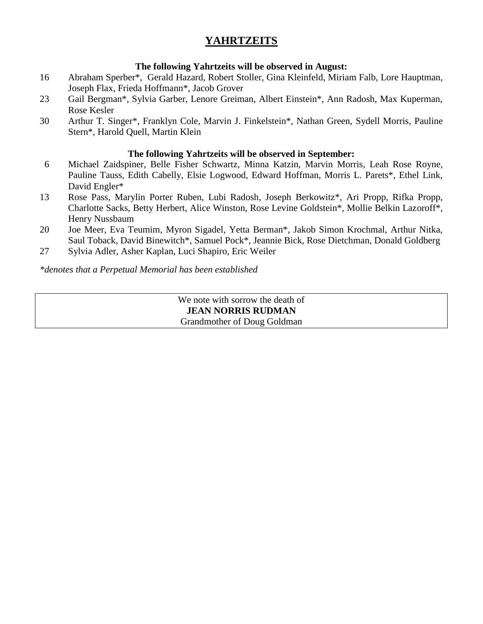### **YAHRTZEITS**

### **The following Yahrtzeits will be observed in August:**

- 16 Abraham Sperber\*, Gerald Hazard, Robert Stoller, Gina Kleinfeld, Miriam Falb, Lore Hauptman, Joseph Flax, Frieda Hoffmann\*, Jacob Grover
- 23 Gail Bergman\*, Sylvia Garber, Lenore Greiman, Albert Einstein\*, Ann Radosh, Max Kuperman, Rose Kesler
- 30 Arthur T. Singer\*, Franklyn Cole, Marvin J. Finkelstein\*, Nathan Green, Sydell Morris, Pauline Stern\*, Harold Quell, Martin Klein

#### **The following Yahrtzeits will be observed in September:**

- 6 Michael Zaidspiner, Belle Fisher Schwartz, Minna Katzin, Marvin Morris, Leah Rose Royne, Pauline Tauss, Edith Cabelly, Elsie Logwood, Edward Hoffman, Morris L. Parets\*, Ethel Link, David Engler\*
- 13 Rose Pass, Marylin Porter Ruben, Lubi Radosh, Joseph Berkowitz\*, Ari Propp, Rifka Propp, Charlotte Sacks, Betty Herbert, Alice Winston, Rose Levine Goldstein\*, Mollie Belkin Lazoroff\*, Henry Nussbaum
- 20 Joe Meer, Eva Teumim, Myron Sigadel, Yetta Berman\*, Jakob Simon Krochmal, Arthur Nitka, Saul Toback, David Binewitch\*, Samuel Pock\*, Jeannie Bick, Rose Dietchman, Donald Goldberg
- 27 Sylvia Adler, Asher Kaplan, Luci Shapiro, Eric Weiler

#### *\*denotes that a Perpetual Memorial has been established*

We note with sorrow the death of **JEAN NORRIS RUDMAN** Grandmother of Doug Goldman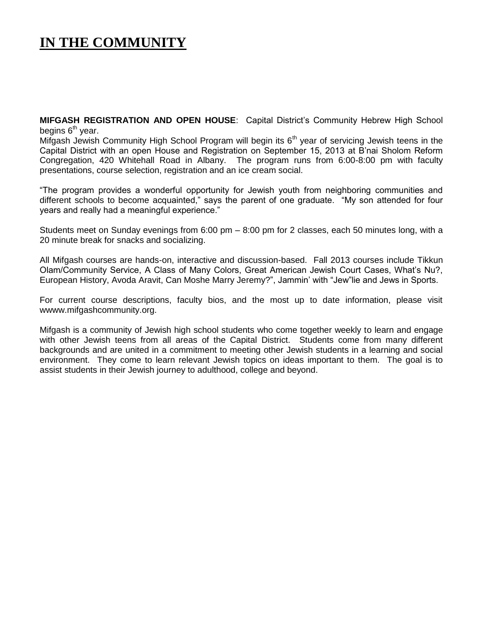# **IN THE COMMUNITY**

**MIFGASH REGISTRATION AND OPEN HOUSE**: Capital District's Community Hebrew High School begins  $6<sup>th</sup>$  year.

Mifgash Jewish Community High School Program will begin its  $6<sup>th</sup>$  year of servicing Jewish teens in the Capital District with an open House and Registration on September 15, 2013 at B'nai Sholom Reform Congregation, 420 Whitehall Road in Albany. The program runs from 6:00-8:00 pm with faculty presentations, course selection, registration and an ice cream social.

"The program provides a wonderful opportunity for Jewish youth from neighboring communities and different schools to become acquainted," says the parent of one graduate. "My son attended for four years and really had a meaningful experience."

Students meet on Sunday evenings from 6:00 pm – 8:00 pm for 2 classes, each 50 minutes long, with a 20 minute break for snacks and socializing.

All Mifgash courses are hands-on, interactive and discussion-based. Fall 2013 courses include Tikkun Olam/Community Service, A Class of Many Colors, Great American Jewish Court Cases, What's Nu?, European History, Avoda Aravit, Can Moshe Marry Jeremy?", Jammin' with "Jew"lie and Jews in Sports.

For current course descriptions, faculty bios, and the most up to date information, please visit wwww.mifgashcommunity.org.

Mifgash is a community of Jewish high school students who come together weekly to learn and engage with other Jewish teens from all areas of the Capital District. Students come from many different backgrounds and are united in a commitment to meeting other Jewish students in a learning and social environment. They come to learn relevant Jewish topics on ideas important to them. The goal is to assist students in their Jewish journey to adulthood, college and beyond.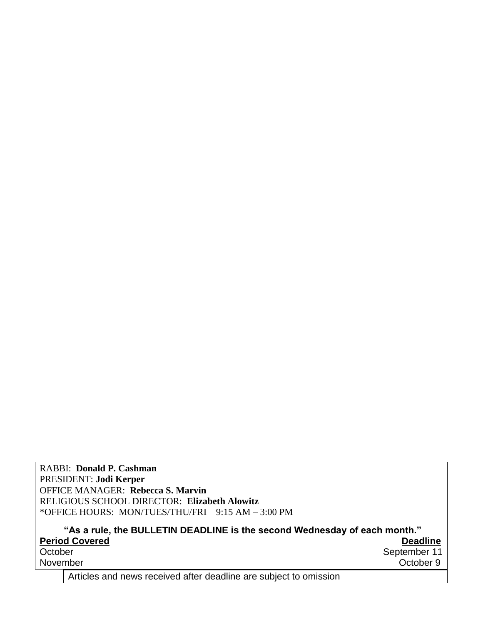RABBI: **Donald P. Cashman** PRESIDENT: **Jodi Kerper** OFFICE MANAGER: **Rebecca S. Marvin** RELIGIOUS SCHOOL DIRECTOR: **Elizabeth Alowitz** \*OFFICE HOURS: MON/TUES/THU/FRI 9:15 AM – 3:00 PM

**"As a rule, the BULLETIN DEADLINE is the second Wednesday of each month."** Period Covered **Deadline**<br>
October **Deadline**<br>
October September 11 September 11 November Contract of the Contract of the Contract of the Contract of the Contract of the Contract of the Contract of the Contract of the Contract of the Contract of the Contract of the Contract of the Contract of the Contr

Articles and news received after deadline are subject to omission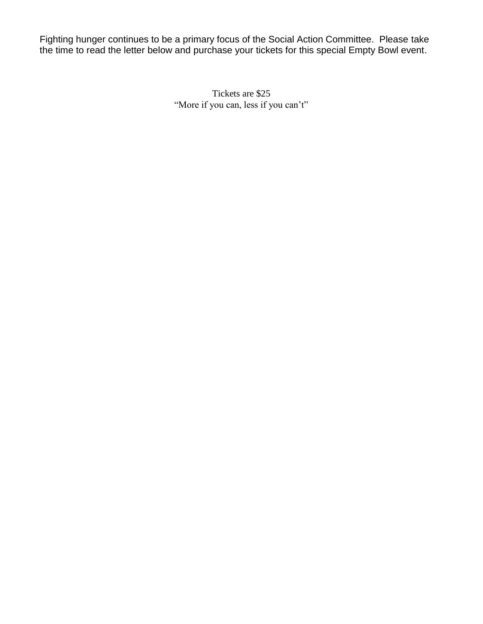Fighting hunger continues to be a primary focus of the Social Action Committee. Please take the time to read the letter below and purchase your tickets for this special Empty Bowl event.

> Tickets are \$25 "More if you can, less if you can't"